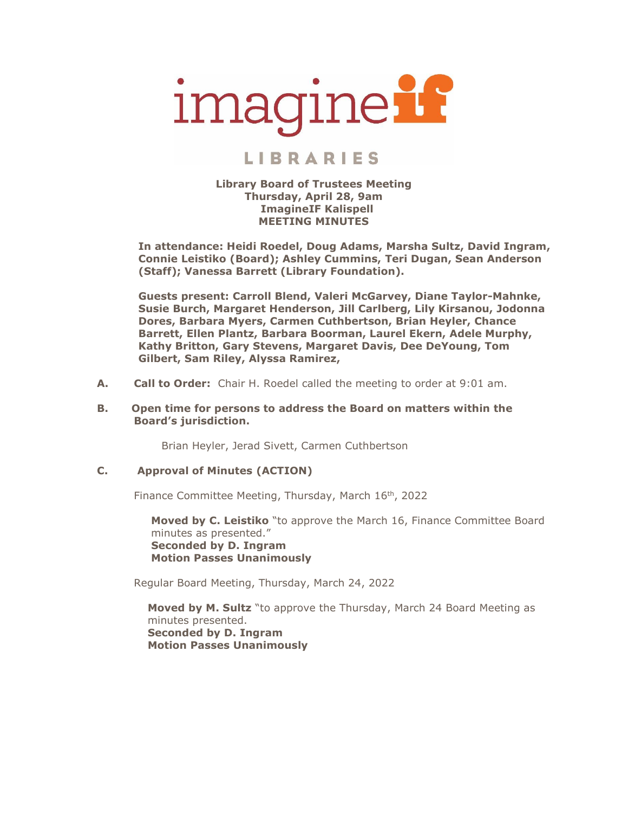

# **LIBRARIES**

#### **Library Board of Trustees Meeting Thursday, April 28, 9am ImagineIF Kalispell MEETING MINUTES**

**In attendance: Heidi Roedel, Doug Adams, Marsha Sultz, David Ingram, Connie Leistiko (Board); Ashley Cummins, Teri Dugan, Sean Anderson (Staff); Vanessa Barrett (Library Foundation).**

**Guests present: Carroll Blend, Valeri McGarvey, Diane Taylor-Mahnke, Susie Burch, Margaret Henderson, Jill Carlberg, Lily Kirsanou, Jodonna Dores, Barbara Myers, Carmen Cuthbertson, Brian Heyler, Chance Barrett, Ellen Plantz, Barbara Boorman, Laurel Ekern, Adele Murphy, Kathy Britton, Gary Stevens, Margaret Davis, Dee DeYoung, Tom Gilbert, Sam Riley, Alyssa Ramirez,** 

**A. Call to Order:** Chair H. Roedel called the meeting to order at 9:01 am.

### **B. Open time for persons to address the Board on matters within the Board's jurisdiction.**

Brian Heyler, Jerad Sivett, Carmen Cuthbertson

# **C. Approval of Minutes (ACTION)**

Finance Committee Meeting, Thursday, March 16<sup>th</sup>, 2022

**Moved by C. Leistiko** "to approve the March 16, Finance Committee Board minutes as presented." **Seconded by D. Ingram Motion Passes Unanimously**

Regular Board Meeting, Thursday, March 24, 2022

**Moved by M. Sultz** "to approve the Thursday, March 24 Board Meeting as minutes presented. **Seconded by D. Ingram Motion Passes Unanimously**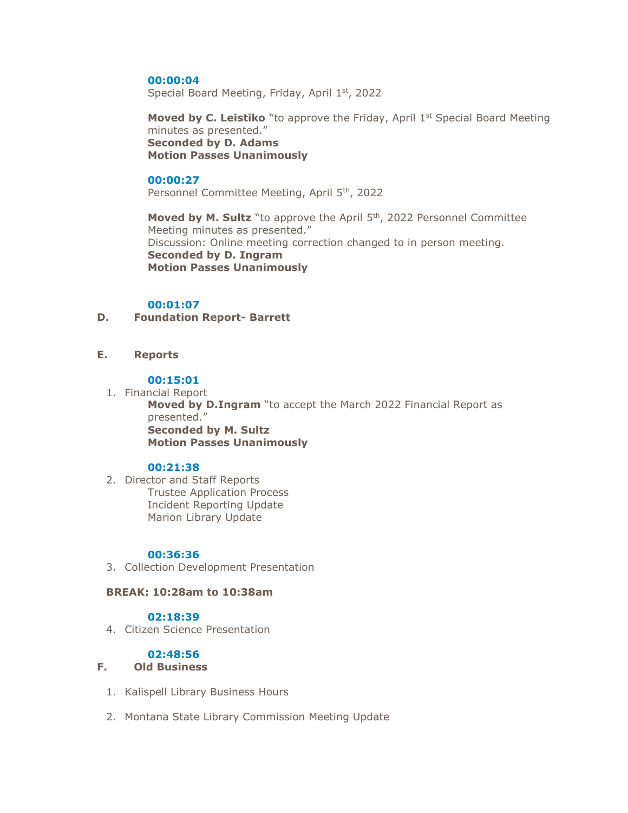#### **00:00:04**

Special Board Meeting, Friday, April 1st, 2022

**Moved by C. Leistiko** "to approve the Friday, April 1st Special Board Meeting minutes as presented." **Seconded by D. Adams Motion Passes Unanimously**

#### **00:00:27**

Personnel Committee Meeting, April 5<sup>th</sup>, 2022

**Moved by M. Sultz** "to approve the April 5<sup>th</sup>, 2022 Personnel Committee Meeting minutes as presented." Discussion: Online meeting correction changed to in person meeting. **Seconded by D. Ingram Motion Passes Unanimously**

### **00:01:07**

**D. Foundation Report- Barrett**

# **E. Reports**

#### **00:15:01**

1. Financial Report

**Moved by D.Ingram** "to accept the March 2022 Financial Report as presented." **Seconded by M. Sultz Motion Passes Unanimously**

# **00:21:38**

2. Director and Staff Reports Trustee Application Process Incident Reporting Update Marion Library Update

#### **00:36:36**

3. Collection Development Presentation

#### **BREAK: 10:28am to 10:38am**

# **02:18:39**

4. Citizen Science Presentation

# **02:48:56**

# **F. Old Business**

- 1. Kalispell Library Business Hours
- 2. Montana State Library Commission Meeting Update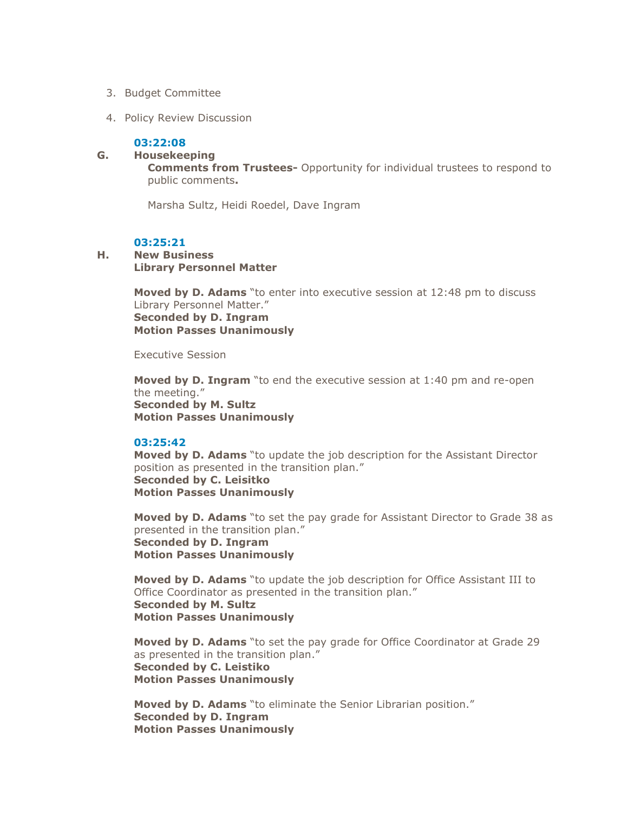- 3. Budget Committee
- 4. Policy Review Discussion

#### **03:22:08**

#### **G. Housekeeping**

**Comments from Trustees-** Opportunity for individual trustees to respond to public comments**.** 

Marsha Sultz, Heidi Roedel, Dave Ingram

# **03:25:21**

### **H. New Business Library Personnel Matter**

**Moved by D. Adams** "to enter into executive session at 12:48 pm to discuss Library Personnel Matter." **Seconded by D. Ingram Motion Passes Unanimously**

Executive Session

**Moved by D. Ingram** "to end the executive session at 1:40 pm and re-open the meeting." **Seconded by M. Sultz Motion Passes Unanimously**

#### **03:25:42**

**Moved by D. Adams** "to update the job description for the Assistant Director position as presented in the transition plan." **Seconded by C. Leisitko Motion Passes Unanimously**

**Moved by D. Adams** "to set the pay grade for Assistant Director to Grade 38 as presented in the transition plan." **Seconded by D. Ingram Motion Passes Unanimously**

**Moved by D. Adams** "to update the job description for Office Assistant III to Office Coordinator as presented in the transition plan." **Seconded by M. Sultz Motion Passes Unanimously**

**Moved by D. Adams** "to set the pay grade for Office Coordinator at Grade 29 as presented in the transition plan." **Seconded by C. Leistiko Motion Passes Unanimously**

**Moved by D. Adams** "to eliminate the Senior Librarian position." **Seconded by D. Ingram Motion Passes Unanimously**